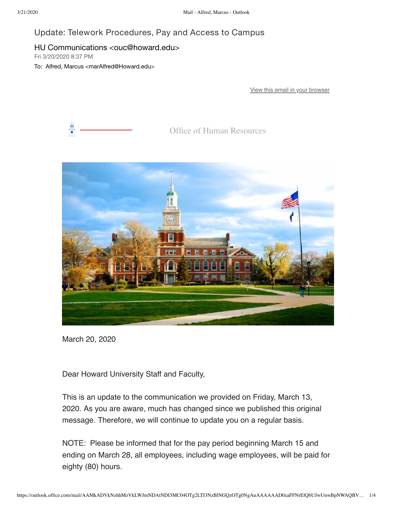## Update: Telework Procedures, Pay and Access to Campus

## HU Communications <ouc@howard.edu>

Fri 3/20/2020 8:37 PM

To: Alfred, Marcus <marAlfred@Howard.edu>

[View this email in your browser](https://nam04.safelinks.protection.outlook.com/?url=https%3A%2F%2Fus3.campaign-archive.com%2F%3Fe%3D0058eb68db%26u%3Dda96b3e11d604fc7332653c0e%26id%3Da957238a52&data=02%7C01%7CmarAlfred%40Howard.edu%7Ca4d62d8cd24a40e1b1d908d7cd300ced%7C02ac0c07b75f46bf9b133630ba94bb69%7C0%7C0%7C637203478567085681&sdata=XkMj%2F1C1mxZJTaBg%2FW3slAOa0e5pIiHKb%2FUlzxa6gNQ%3D&reserved=0)



Office of Human Resources



March 20, 2020

Dear Howard University Staff and Faculty,

This is an update to the communication we provided on Friday, March 13, 2020. As you are aware, much has changed since we published this original message. Therefore, we will continue to update you on a regular basis.

NOTE: Please be informed that for the pay period beginning March 15 and ending on March 28, all employees, including wage employees, will be paid for eighty (80) hours.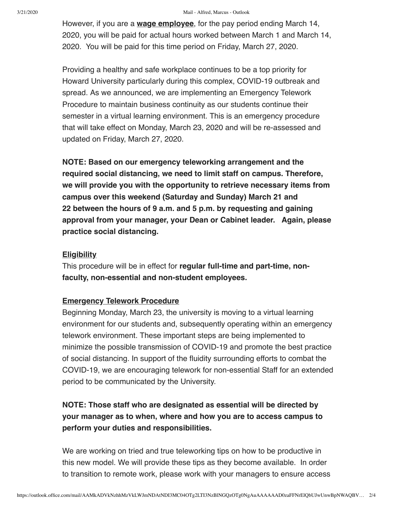#### 3/21/2020 Mail - Alfred, Marcus - Outlook

However, if you are a **wage employee**, for the pay period ending March 14, 2020, you will be paid for actual hours worked between March 1 and March 14, 2020. You will be paid for this time period on Friday, March 27, 2020.

Providing a healthy and safe workplace continues to be a top priority for Howard University particularly during this complex, COVID-19 outbreak and spread. As we announced, we are implementing an Emergency Telework Procedure to maintain business continuity as our students continue their semester in a virtual learning environment. This is an emergency procedure that will take effect on Monday, March 23, 2020 and will be re-assessed and updated on Friday, March 27, 2020.

**NOTE: Based on our emergency teleworking arrangement and the required social distancing, we need to limit staff on campus. Therefore, we will provide you with the opportunity to retrieve necessary items from campus over this weekend (Saturday and Sunday) March 21 and 22 between the hours of 9 a.m. and 5 p.m. by requesting and gaining approval from your manager, your Dean or Cabinet leader. Again, please practice social distancing.**

#### **Eligibility**

This procedure will be in effect for **regular full-time and part-time, nonfaculty, non-essential and non-student employees.** 

## **Emergency Telework Procedure**

Beginning Monday, March 23, the university is moving to a virtual learning environment for our students and, subsequently operating within an emergency telework environment. These important steps are being implemented to minimize the possible transmission of COVID-19 and promote the best practice of social distancing. In support of the fluidity surrounding efforts to combat the COVID-19, we are encouraging telework for non-essential Staff for an extended period to be communicated by the University.

# **NOTE: Those staff who are designated as essential will be directed by your manager as to when, where and how you are to access campus to perform your duties and responsibilities.**

We are working on tried and true teleworking tips on how to be productive in this new model. We will provide these tips as they become available. In order to transition to remote work, please work with your managers to ensure access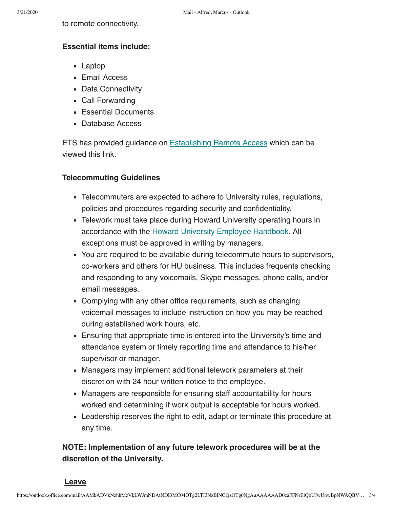## **Essential items include:**

- Laptop
- Email Access
- Data Connectivity
- Call Forwarding
- Essential Documents
- Database Access

ETS has provided guidance on [Establishing Remote Access](https://nam04.safelinks.protection.outlook.com/?url=https%3A%2F%2Fhoward.us3.list-manage.com%2Ftrack%2Fclick%3Fu%3Dda96b3e11d604fc7332653c0e%26id%3D078e8351bd%26e%3D0058eb68db&data=02%7C01%7CmarAlfred%40Howard.edu%7Ca4d62d8cd24a40e1b1d908d7cd300ced%7C02ac0c07b75f46bf9b133630ba94bb69%7C0%7C0%7C637203478567085681&sdata=LgtExc1G%2FPuuEXFjYofCh%2B1FRAdEoAZbuxLxOQ5WlG4%3D&reserved=0) which can be viewed this link.

## **Telecommuting Guidelines**

- Telecommuters are expected to adhere to University rules, regulations, policies and procedures regarding security and confidentiality.
- Telework must take place during Howard University operating hours in accordance with the **Howard University Employee Handbook**. All exceptions must be approved in writing by managers.
- You are required to be available during telecommute hours to supervisors, co-workers and others for HU business. This includes frequents checking and responding to any voicemails, Skype messages, phone calls, and/or email messages.
- Complying with any other office requirements, such as changing voicemail messages to include instruction on how you may be reached during established work hours, etc.
- Ensuring that appropriate time is entered into the University's time and attendance system or timely reporting time and attendance to his/her supervisor or manager.
- Managers may implement additional telework parameters at their discretion with 24 hour written notice to the employee.
- Managers are responsible for ensuring staff accountability for hours worked and determining if work output is acceptable for hours worked.
- Leadership reserves the right to edit, adapt or terminate this procedure at any time.

# **NOTE: Implementation of any future telework procedures will be at the discretion of the University.**

**Leave**